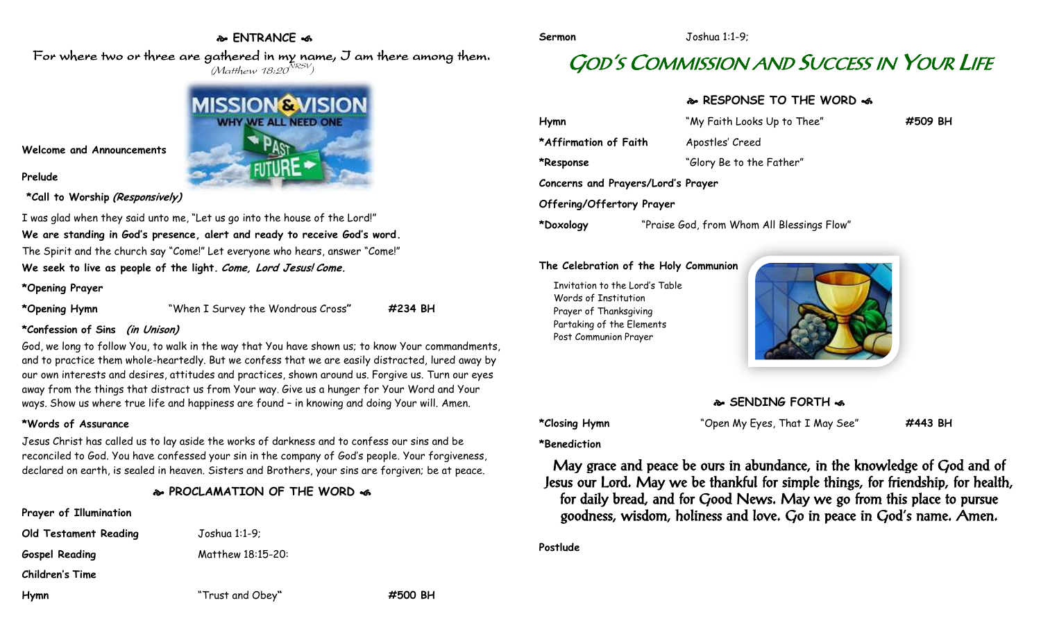## **ENTRANCE**

For where two or three are gathered in my name, I am there among them.  $(M$ atthew 18:20 $^{NRSV})$ 



#### **Welcome and Announcements**

#### **Prelude**

**\*Call to Worship (Responsively)**

I was glad when they said unto me, "Let us go into the house of the Lord!" **We are standing in God's presence, alert and ready to receive God's word.** The Spirit and the church say "Come!" Let everyone who hears, answer "Come!" **We seek to live as people of the light. Come, Lord Jesus! Come.**

#### **\*Opening Prayer**

**\*Opening Hymn** "When I Survey the Wondrous Cross**" #234 BH**

### **\*Confession of Sins (in Unison)**

God, we long to follow You, to walk in the way that You have shown us; to know Your commandments, and to practice them whole-heartedly. But we confess that we are easily distracted, lured away by our own interests and desires, attitudes and practices, shown around us. Forgive us. Turn our eyes away from the things that distract us from Your way. Give us a hunger for Your Word and Your ways. Show us where true life and happiness are found – in knowing and doing Your will. Amen.

### **\*Words of Assurance**

Jesus Christ has called us to lay aside the works of darkness and to confess our sins and be reconciled to God. You have confessed your sin in the company of God's people. Your forgiveness, declared on earth, is sealed in heaven. Sisters and Brothers, your sins are forgiven; be at peace.

## **PROCLAMATION OF THE WORD**

## **Prayer of Illumination**

**Old Testament Reading** Joshua 1:1-9; Gospel Reading Matthew 18:15-20: **Children's Time**

**\*Benediction**

May grace and peace be ours in abundance, in the knowledge of God and of Jesus our Lord. May we be thankful for simple things, for friendship, for health, for daily bread, and for Good News. May we go from this place to pursue goodness, wisdom, holiness and love. Go in peace in God's name. Amen.

**Postlude**

# GOD'S COMMISSION AND SUCCESS IN YOUR LIFE

## **RESPONSE TO THE WORD**

| Hymn                               | "My Faith Looks Up to Thee"                | #509 BH |
|------------------------------------|--------------------------------------------|---------|
| *Affirmation of Faith              | Apostles' Creed                            |         |
| *Response                          | "Glory Be to the Father"                   |         |
| Concerns and Prayers/Lord's Prayer |                                            |         |
| Offering/Offertory Prayer          |                                            |         |
| *Doxology                          | "Praise God, from Whom All Blessings Flow" |         |

#### **The Celebration of the Holy Communion**

**Sermon** Joshua 1:1-9;

Invitation to the Lord's Table Words of Institution Prayer of Thanksgiving Partaking of the Elements Post Communion Prayer



# **SENDING FORTH**

**\*Closing Hymn** "Open My Eyes, That I May See" **#443 BH**

**Hymn** "Trust and Obey**" #500 BH**